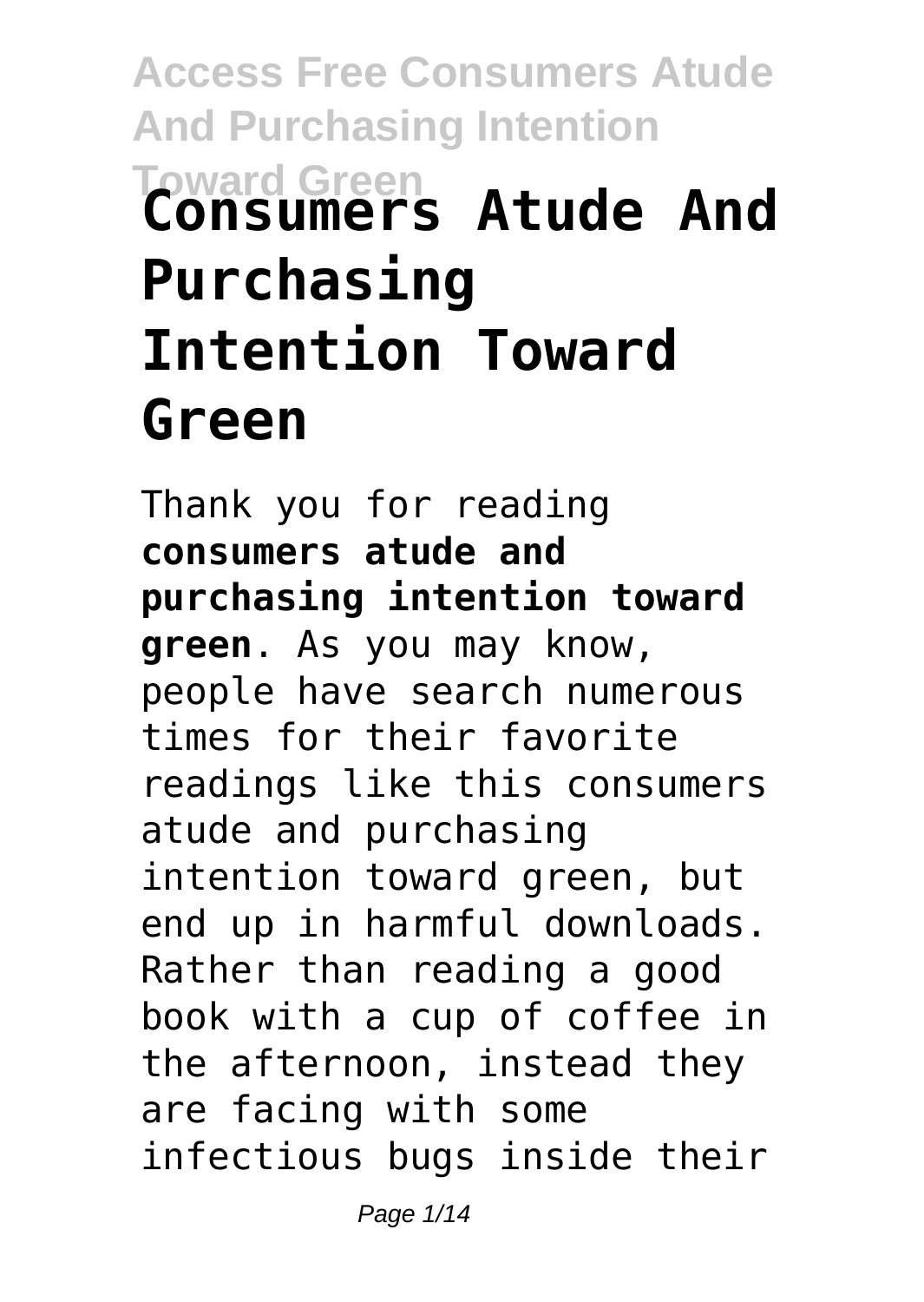# **Access Free Consumers Atude And Purchasing Intention Toward Green Consumers Atude And Purchasing Intention Toward Green**

Thank you for reading **consumers atude and purchasing intention toward green**. As you may know, people have search numerous times for their favorite readings like this consumers atude and purchasing intention toward green, but end up in harmful downloads. Rather than reading a good book with a cup of coffee in the afternoon, instead they are facing with some infectious bugs inside their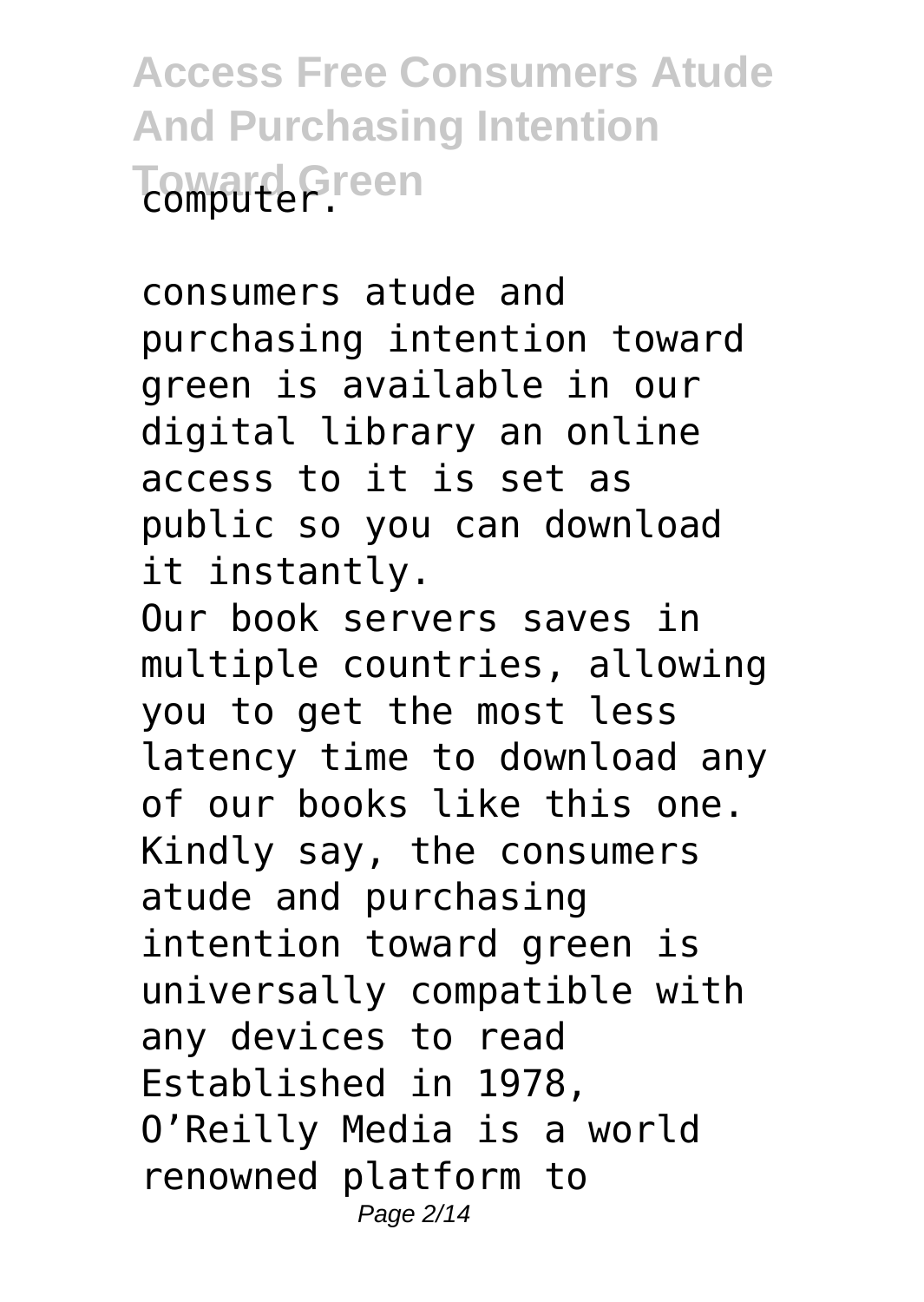**Access Free Consumers Atude And Purchasing Intention Toward Green** 

consumers atude and purchasing intention toward green is available in our digital library an online access to it is set as public so you can download it instantly.

Our book servers saves in multiple countries, allowing you to get the most less latency time to download any of our books like this one. Kindly say, the consumers atude and purchasing intention toward green is universally compatible with any devices to read Established in 1978, O'Reilly Media is a world renowned platform to Page 2/14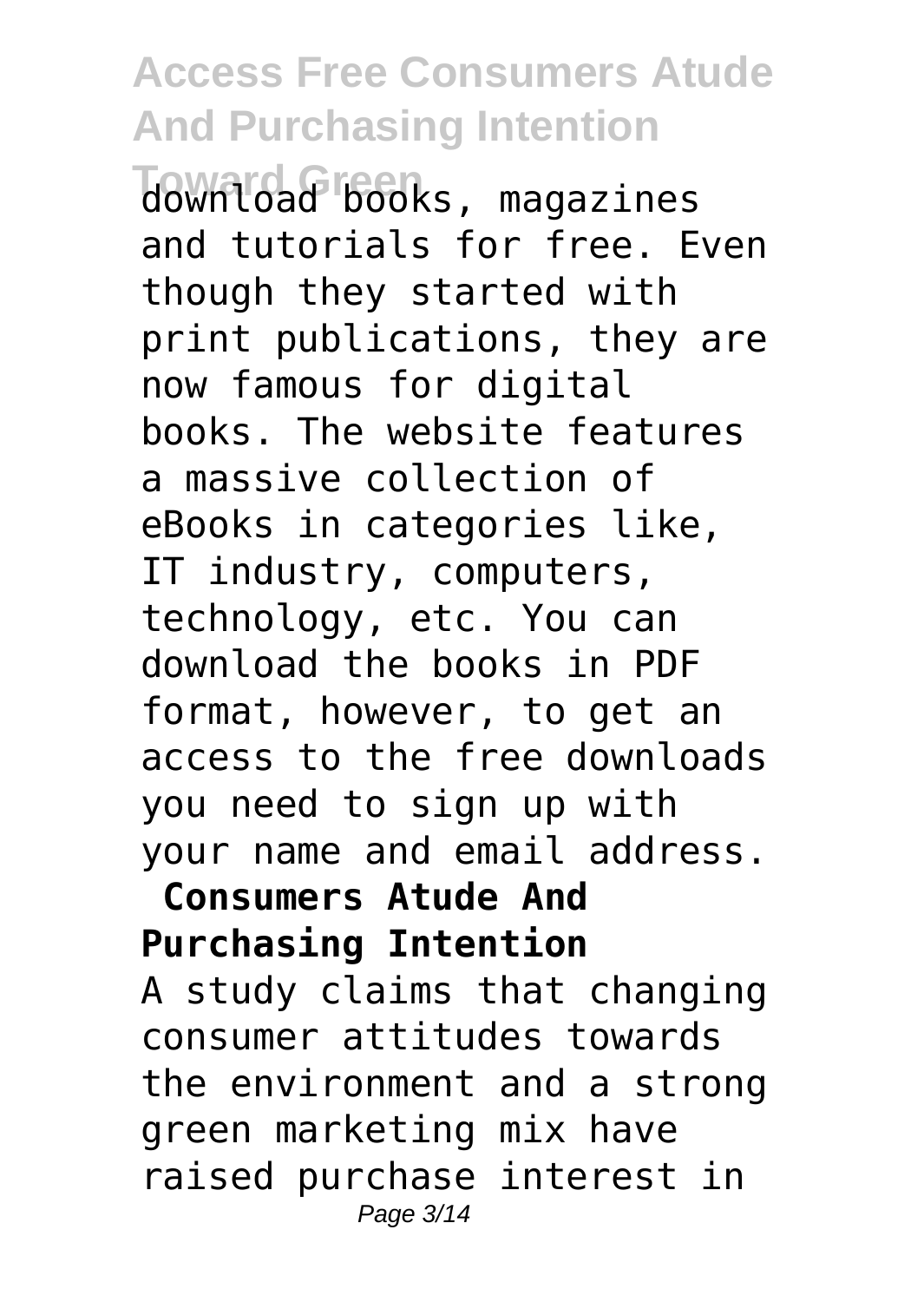**Toward Green** download books, magazines and tutorials for free. Even though they started with print publications, they are now famous for digital books. The website features a massive collection of eBooks in categories like, IT industry, computers, technology, etc. You can download the books in PDF format, however, to get an access to the free downloads you need to sign up with your name and email address.

#### **Consumers Atude And Purchasing Intention**

A study claims that changing consumer attitudes towards the environment and a strong green marketing mix have raised purchase interest in Page 3/14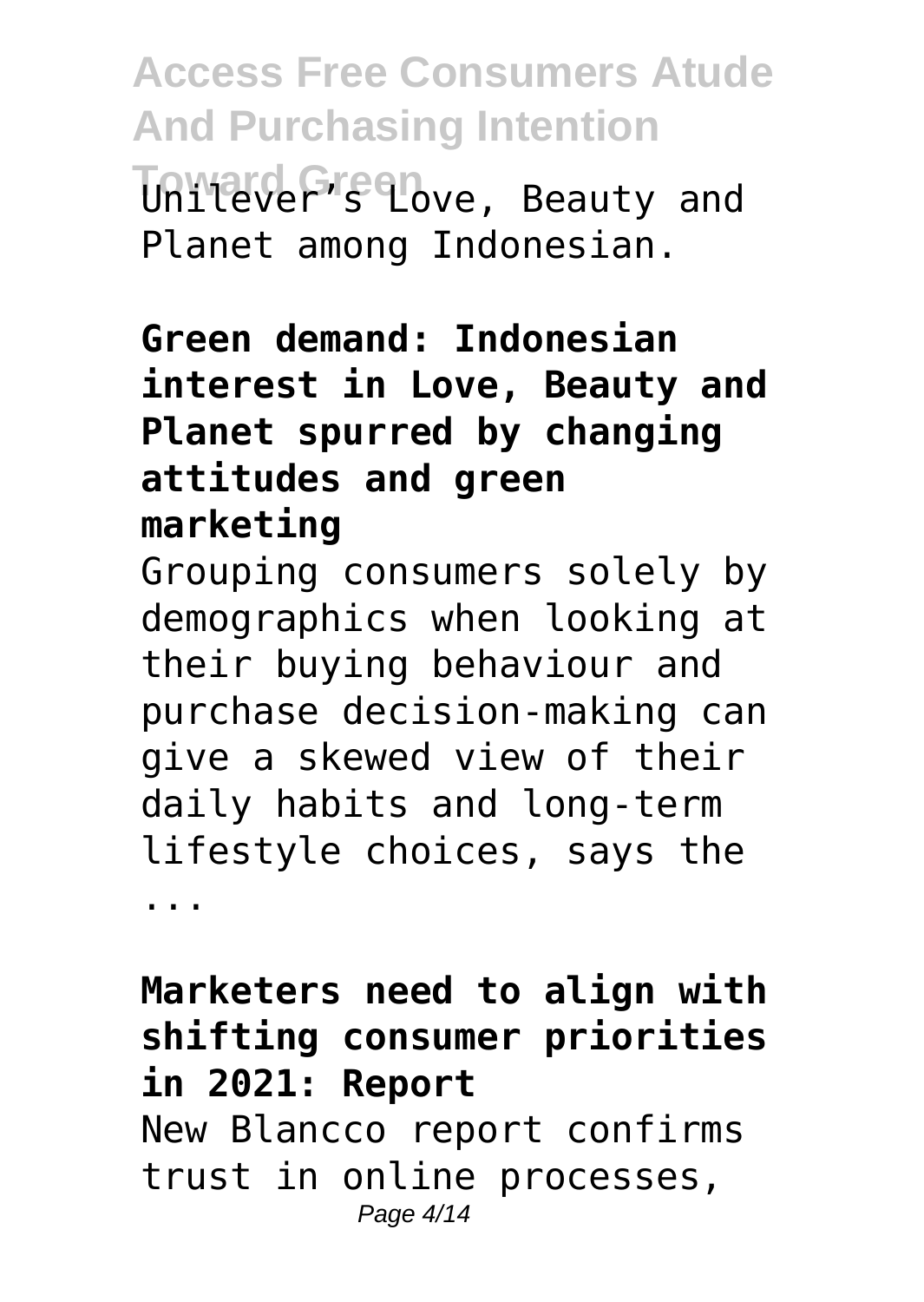**Access Free Consumers Atude And Purchasing Intention** Unilever's Love, Beauty and Planet among Indonesian.

#### **Green demand: Indonesian interest in Love, Beauty and Planet spurred by changing attitudes and green marketing**

Grouping consumers solely by demographics when looking at their buying behaviour and purchase decision-making can give a skewed view of their daily habits and long-term lifestyle choices, says the ...

**Marketers need to align with shifting consumer priorities in 2021: Report** New Blancco report confirms trust in online processes, Page 4/14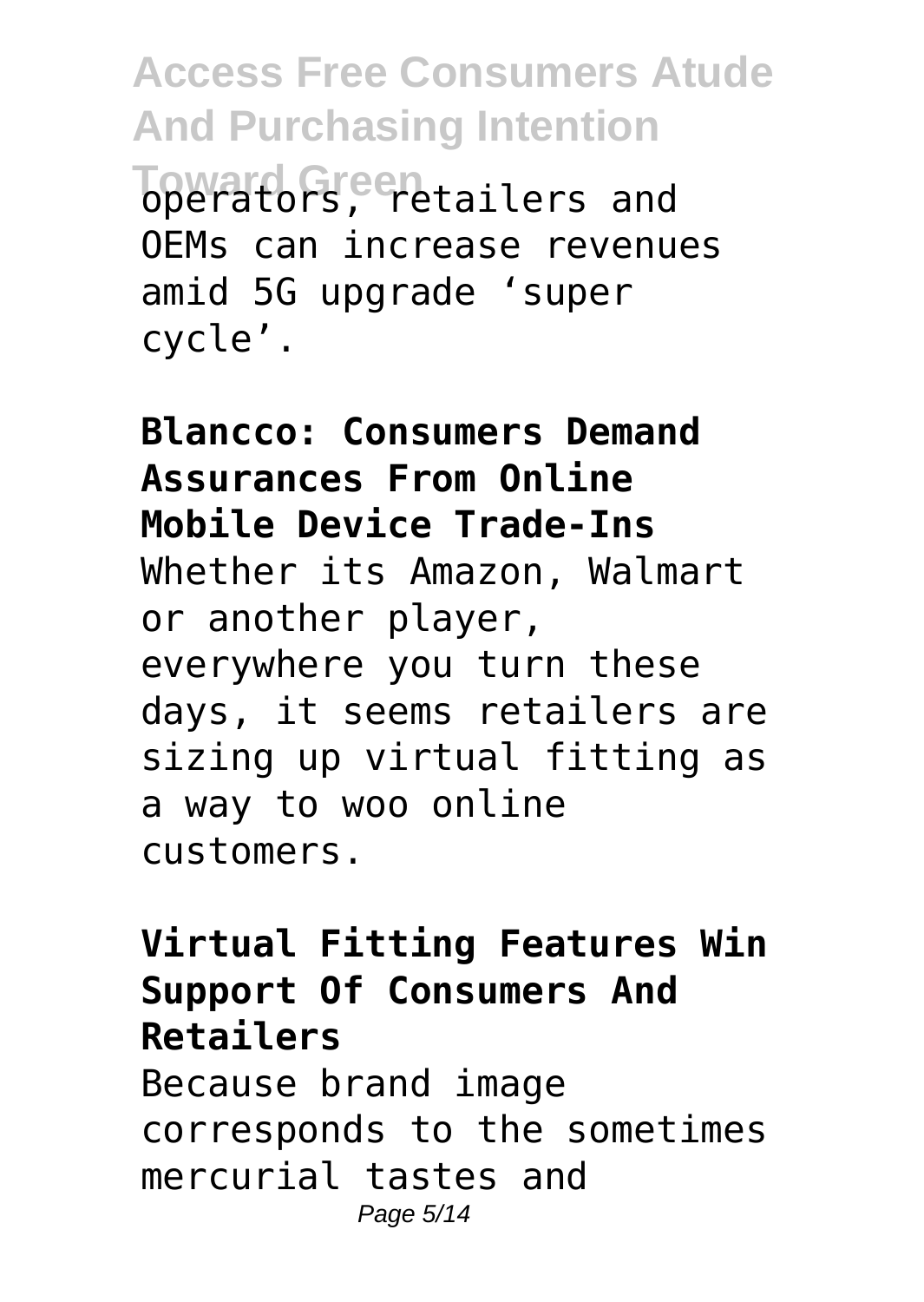**Access Free Consumers Atude And Purchasing Intention Toward Green** tailers and OEMs can increase revenues amid 5G upgrade 'super cycle'.

**Blancco: Consumers Demand Assurances From Online Mobile Device Trade-Ins** Whether its Amazon, Walmart or another player, everywhere you turn these days, it seems retailers are sizing up virtual fitting as a way to woo online customers.

### **Virtual Fitting Features Win Support Of Consumers And Retailers**

Because brand image corresponds to the sometimes mercurial tastes and Page 5/14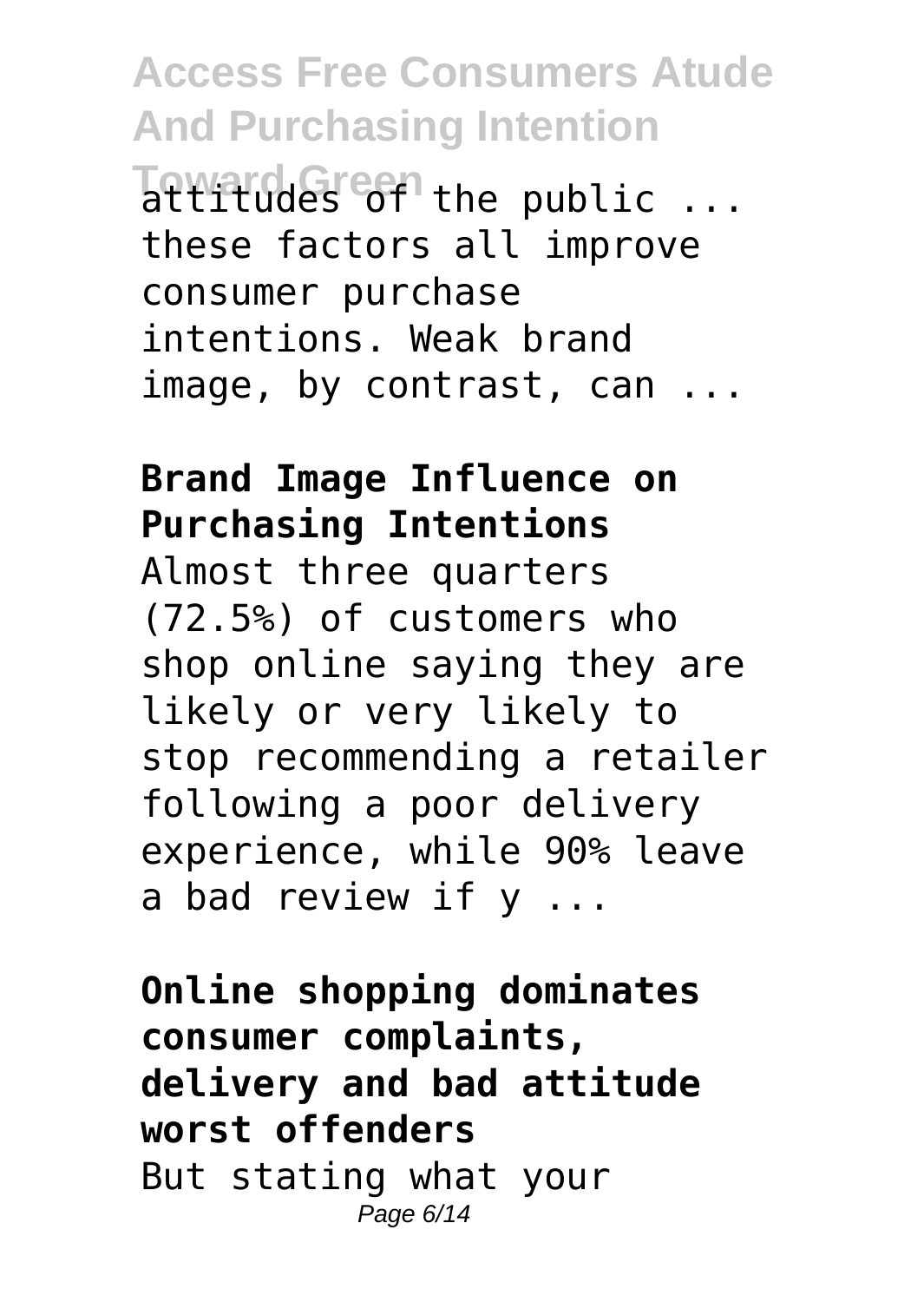**Access Free Consumers Atude And Purchasing Intention Toward Green** the public ... these factors all improve consumer purchase intentions. Weak brand image, by contrast, can ...

#### **Brand Image Influence on Purchasing Intentions**

Almost three quarters (72.5%) of customers who shop online saying they are likely or very likely to stop recommending a retailer following a poor delivery experience, while 90% leave a bad review if y ...

**Online shopping dominates consumer complaints, delivery and bad attitude worst offenders** But stating what your Page 6/14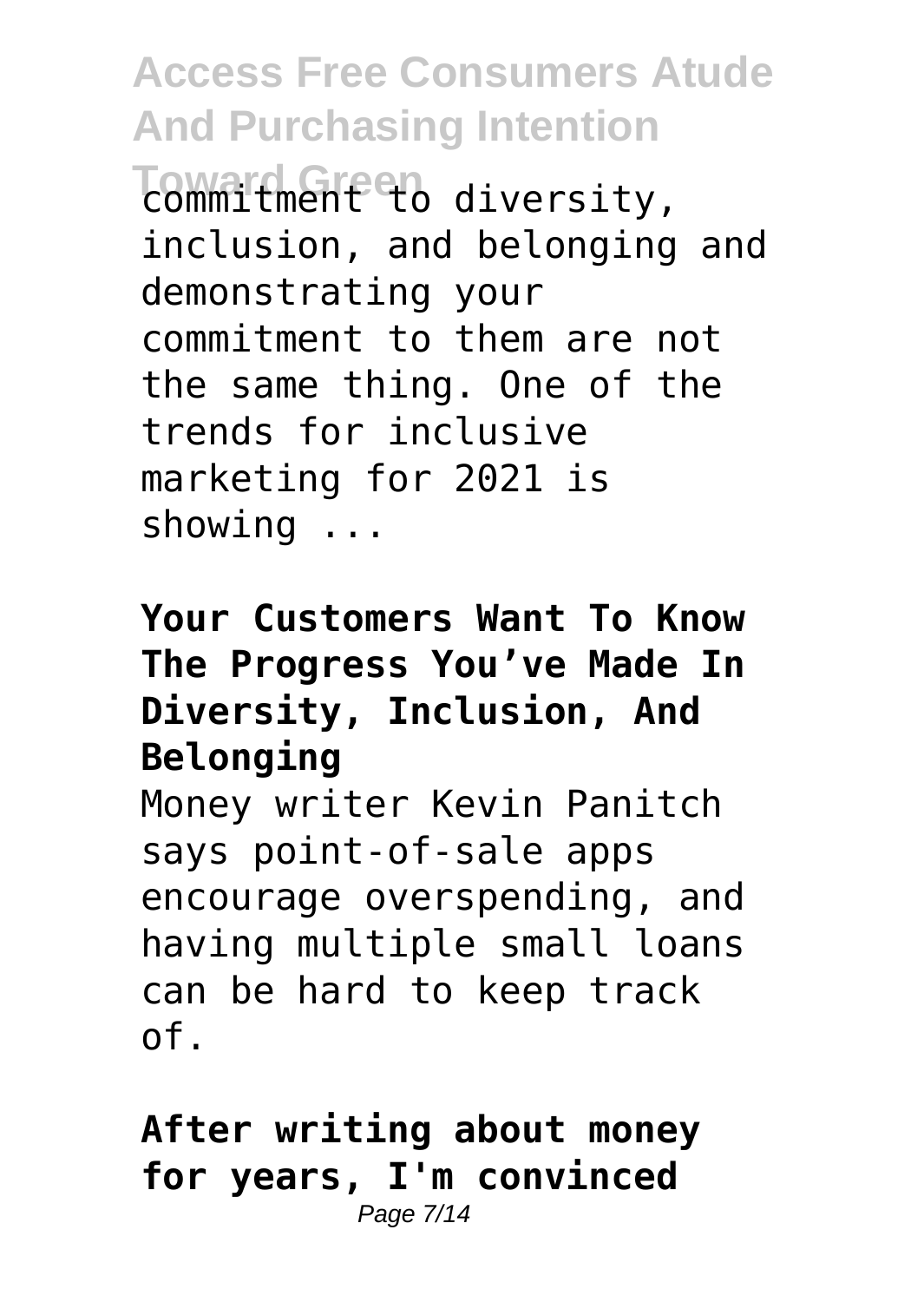Toward Green diversity, inclusion, and belonging and demonstrating your commitment to them are not the same thing. One of the trends for inclusive marketing for 2021 is showing ...

#### **Your Customers Want To Know The Progress You've Made In Diversity, Inclusion, And Belonging**

Money writer Kevin Panitch says point-of-sale apps encourage overspending, and having multiple small loans can be hard to keep track of.

**After writing about money for years, I'm convinced** Page 7/14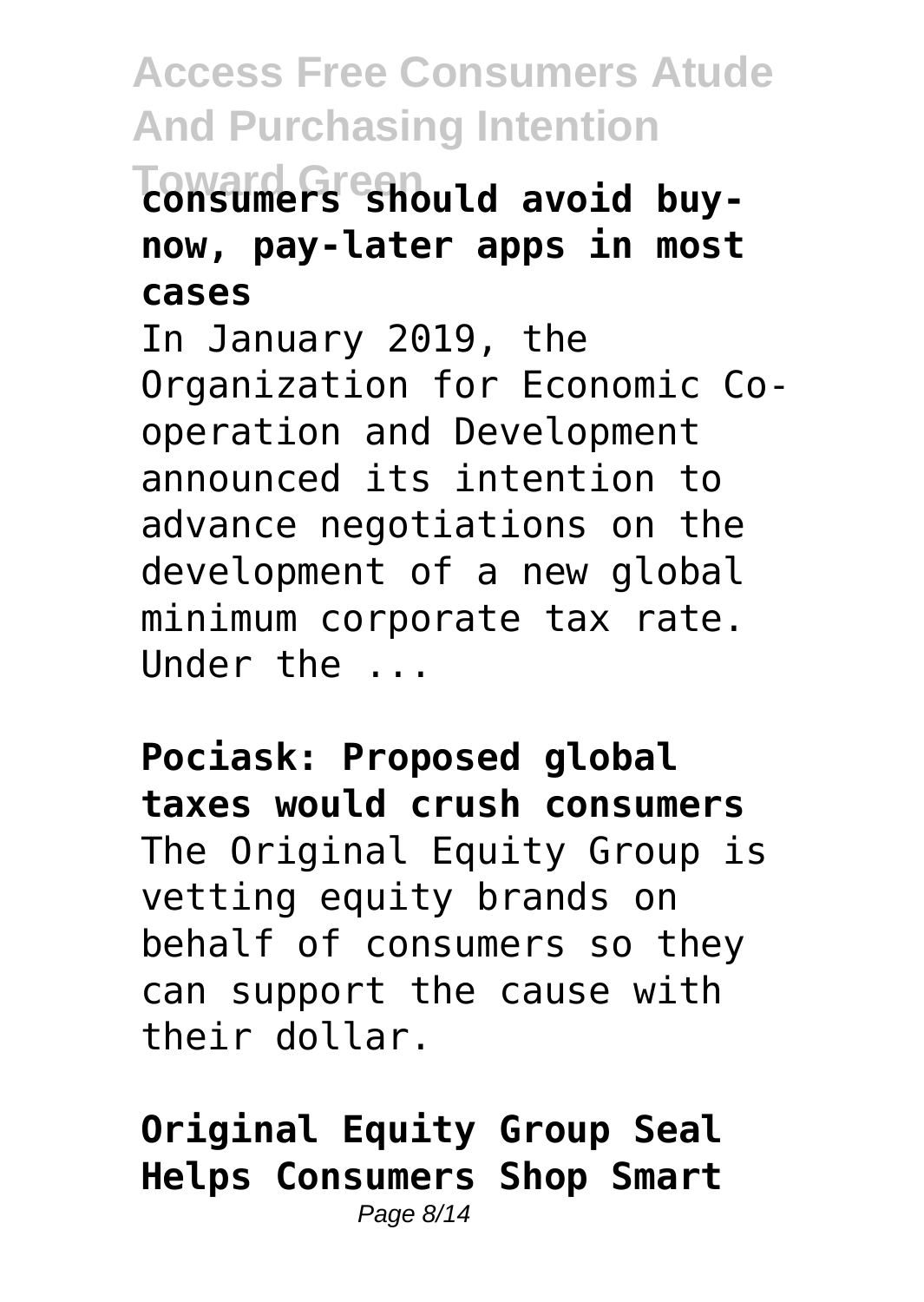## **Toward Green consumers should avoid buynow, pay-later apps in most cases**

In January 2019, the Organization for Economic Cooperation and Development announced its intention to advance negotiations on the development of a new global minimum corporate tax rate. Under the ...

**Pociask: Proposed global taxes would crush consumers** The Original Equity Group is vetting equity brands on behalf of consumers so they can support the cause with their dollar.

**Original Equity Group Seal Helps Consumers Shop Smart** Page 8/14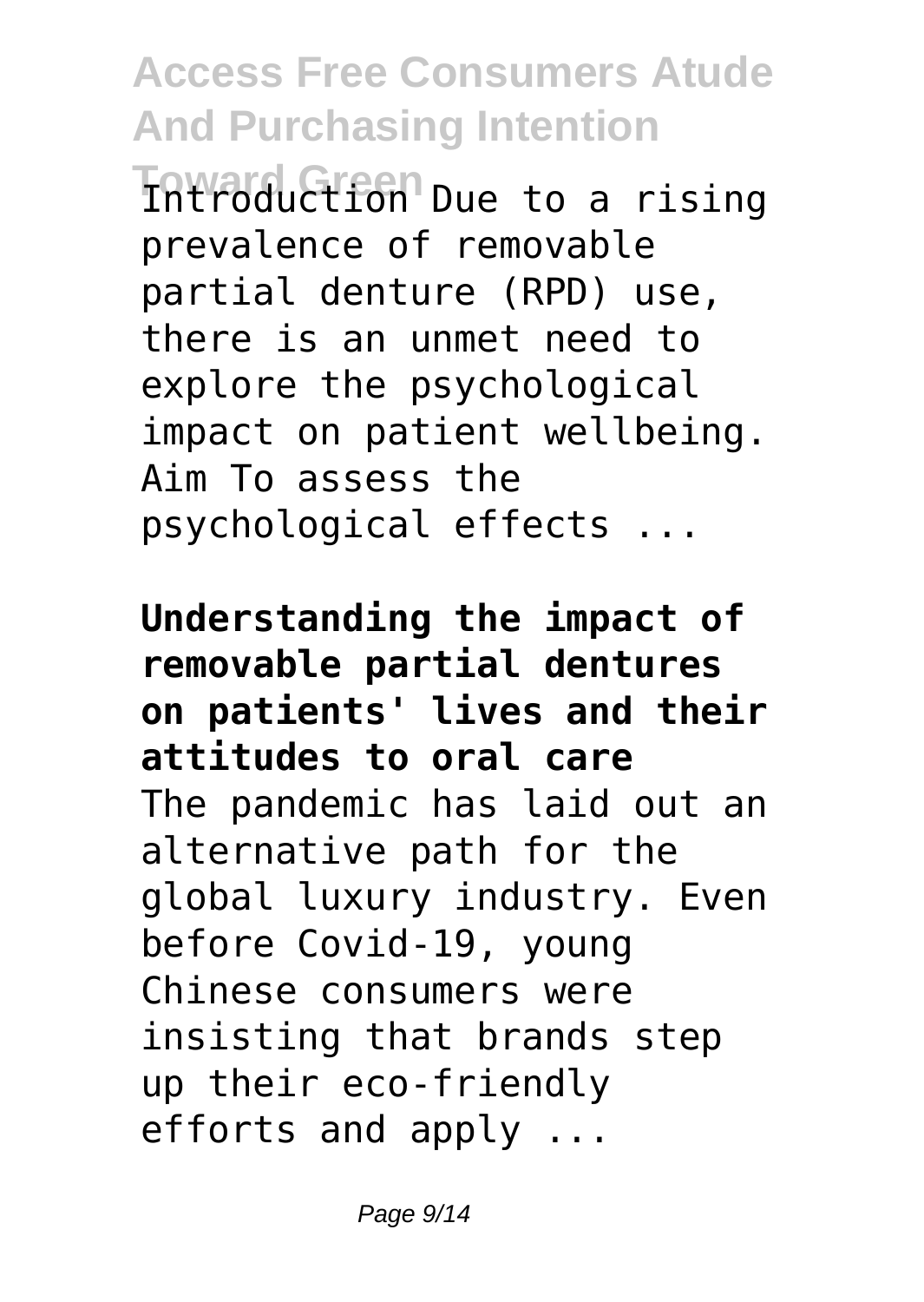**Toward Green** Introduction Due to a rising prevalence of removable partial denture (RPD) use, there is an unmet need to explore the psychological impact on patient wellbeing. Aim To assess the psychological effects ...

**Understanding the impact of removable partial dentures on patients' lives and their attitudes to oral care** The pandemic has laid out an alternative path for the global luxury industry. Even before Covid-19, young Chinese consumers were insisting that brands step up their eco-friendly efforts and apply ...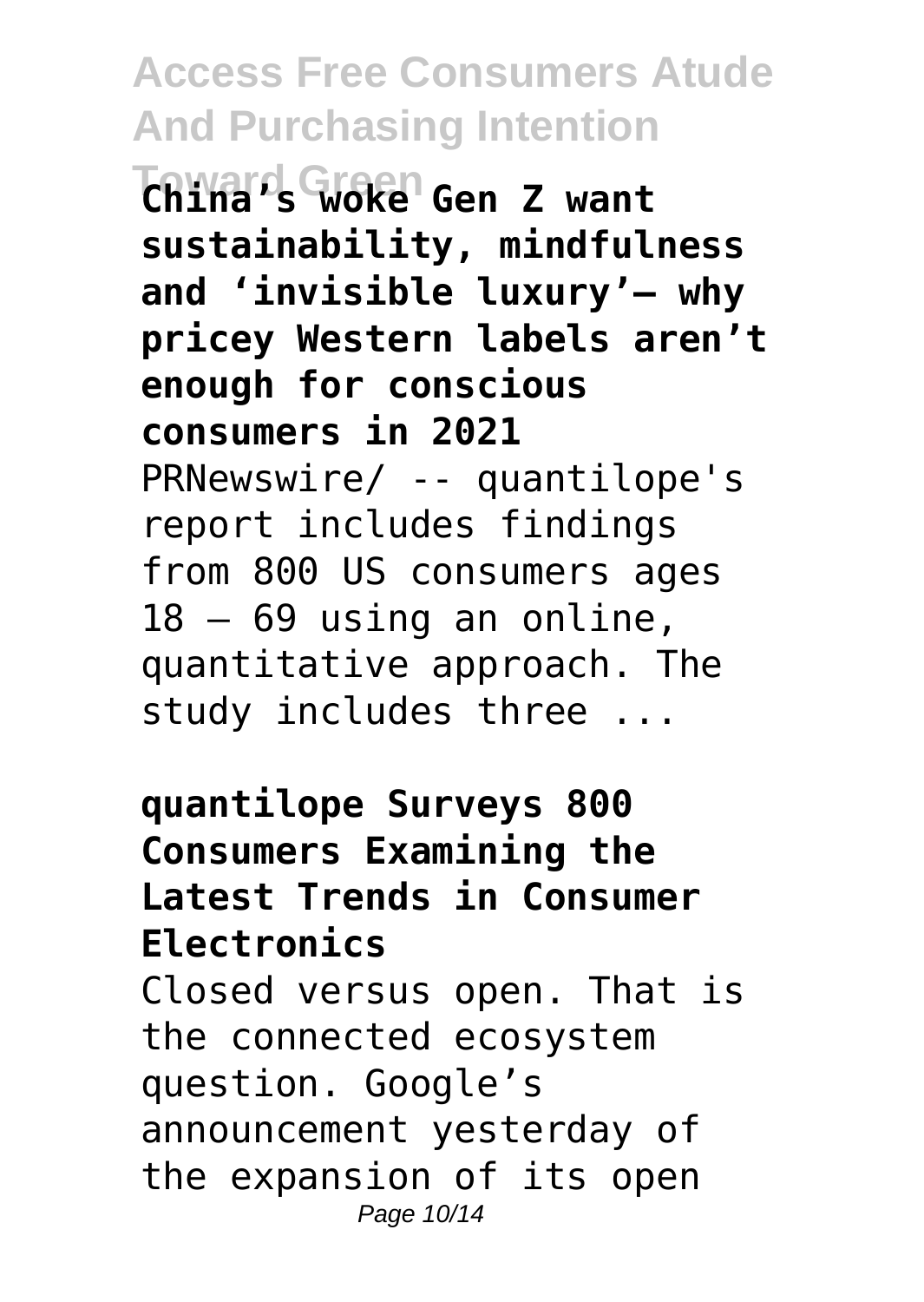**Toward Green China's woke Gen Z want sustainability, mindfulness and 'invisible luxury'– why pricey Western labels aren't enough for conscious consumers in 2021** PRNewswire/ -- quantilope's report includes findings from 800 US consumers ages  $18 - 69$  using an online, quantitative approach. The study includes three ...

**quantilope Surveys 800 Consumers Examining the Latest Trends in Consumer Electronics** Closed versus open. That is the connected ecosystem question. Google's announcement yesterday of the expansion of its open Page 10/14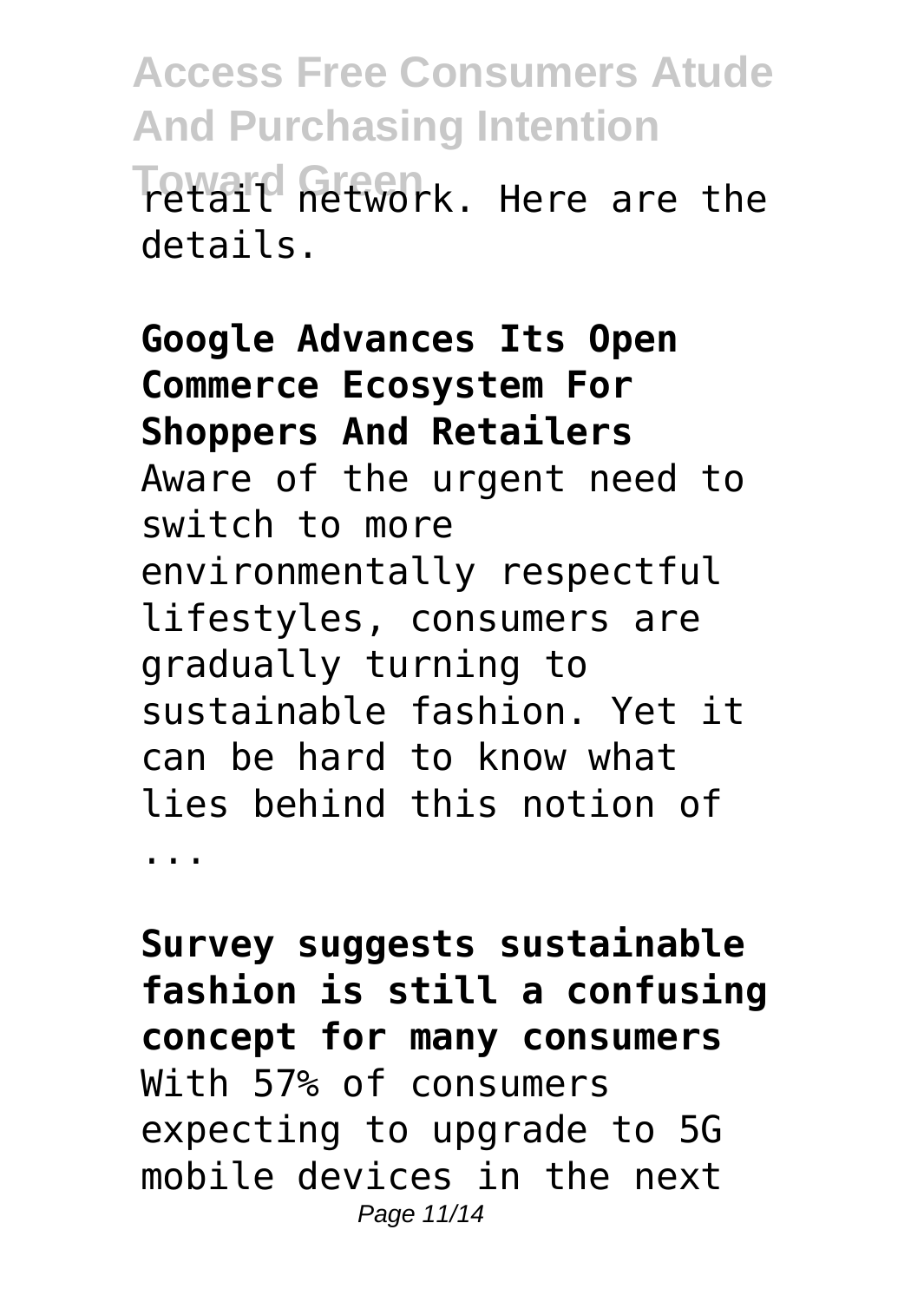**Access Free Consumers Atude And Purchasing Intention Texaid Green** R. Here are the details.

**Google Advances Its Open Commerce Ecosystem For Shoppers And Retailers** Aware of the urgent need to switch to more environmentally respectful lifestyles, consumers are gradually turning to sustainable fashion. Yet it can be hard to know what lies behind this notion of ...

**Survey suggests sustainable fashion is still a confusing concept for many consumers** With 57% of consumers expecting to upgrade to 5G mobile devices in the next Page 11/14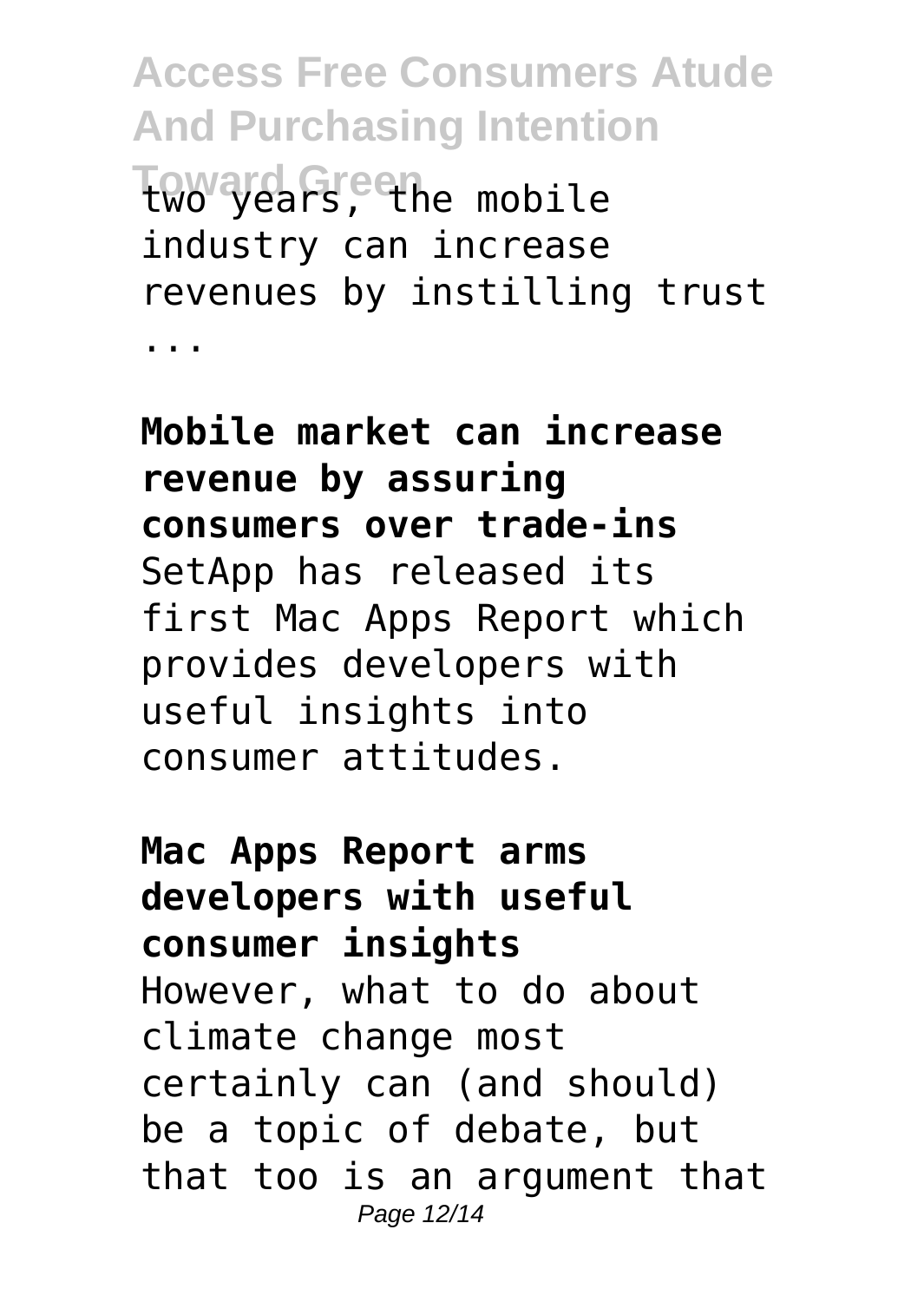**Access Free Consumers Atude And Purchasing Intention Tow years, the mobile** industry can increase revenues by instilling trust ...

**Mobile market can increase revenue by assuring consumers over trade-ins** SetApp has released its first Mac Apps Report which provides developers with useful insights into consumer attitudes.

**Mac Apps Report arms developers with useful consumer insights** However, what to do about climate change most certainly can (and should) be a topic of debate, but that too is an argument that Page 12/14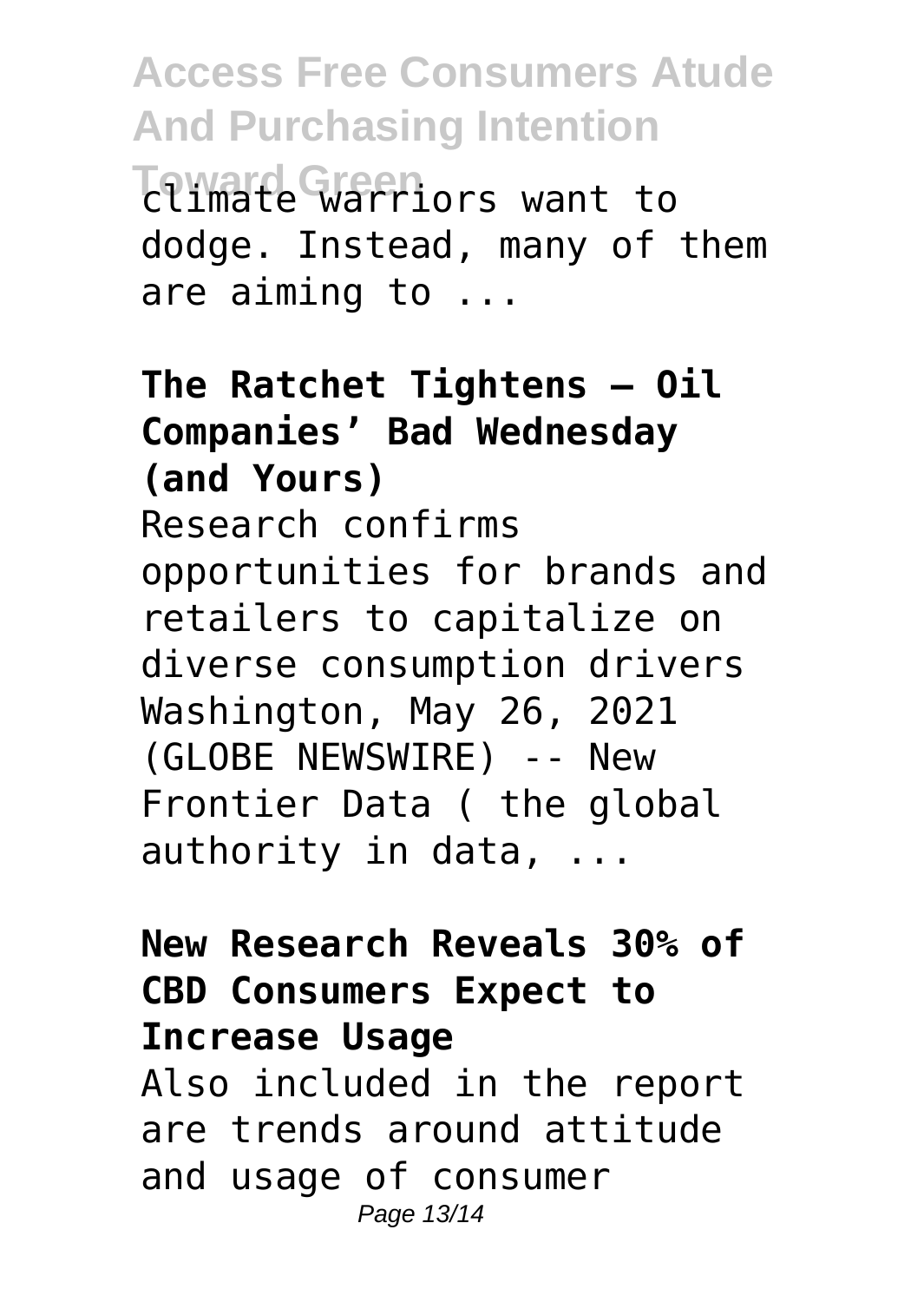**Access Free Consumers Atude And Purchasing Intention Toward Green** climate warriors want to dodge. Instead, many of them are aiming to ...

#### **The Ratchet Tightens — Oil Companies' Bad Wednesday (and Yours)** Research confirms opportunities for brands and retailers to capitalize on diverse consumption drivers Washington, May 26, 2021 (GLOBE NEWSWIRE) -- New Frontier Data ( the global authority in data, ...

#### **New Research Reveals 30% of CBD Consumers Expect to Increase Usage**

Also included in the report are trends around attitude and usage of consumer Page 13/14